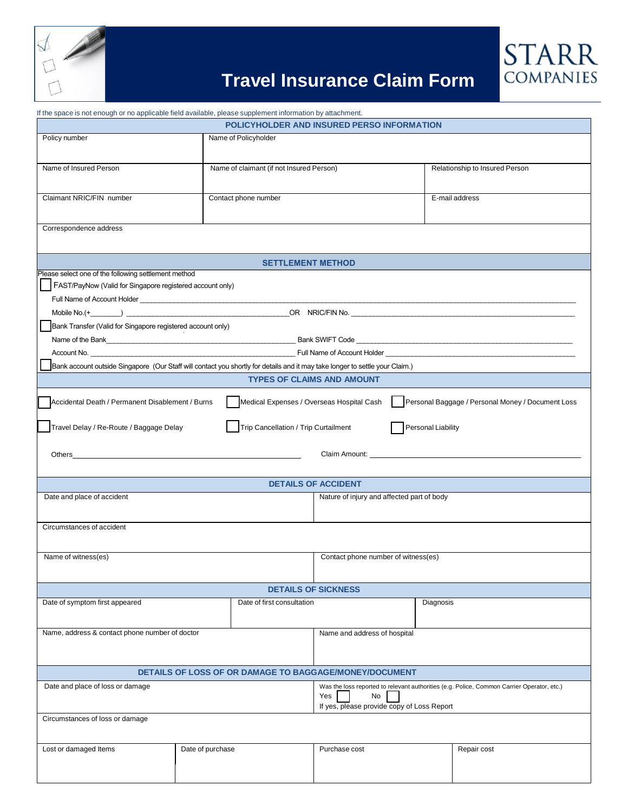

## **Travel Insurance Claim Form**

**STARR**<br>COMPANIES

| If the space is not enough or no applicable field available, please supplement information by attachment.                                                                                                                      |                                                                                                                              |                                           |                    |                                                                                            |  |  |  |  |
|--------------------------------------------------------------------------------------------------------------------------------------------------------------------------------------------------------------------------------|------------------------------------------------------------------------------------------------------------------------------|-------------------------------------------|--------------------|--------------------------------------------------------------------------------------------|--|--|--|--|
| POLICYHOLDER AND INSURED PERSO INFORMATION                                                                                                                                                                                     |                                                                                                                              |                                           |                    |                                                                                            |  |  |  |  |
| Policy number                                                                                                                                                                                                                  | Name of Policyholder                                                                                                         |                                           |                    |                                                                                            |  |  |  |  |
|                                                                                                                                                                                                                                |                                                                                                                              |                                           |                    |                                                                                            |  |  |  |  |
| Name of Insured Person                                                                                                                                                                                                         | Name of claimant (if not Insured Person)                                                                                     |                                           |                    | Relationship to Insured Person                                                             |  |  |  |  |
|                                                                                                                                                                                                                                |                                                                                                                              |                                           |                    |                                                                                            |  |  |  |  |
|                                                                                                                                                                                                                                |                                                                                                                              |                                           |                    |                                                                                            |  |  |  |  |
| Claimant NRIC/FIN number                                                                                                                                                                                                       | Contact phone number                                                                                                         |                                           |                    | E-mail address                                                                             |  |  |  |  |
|                                                                                                                                                                                                                                |                                                                                                                              |                                           |                    |                                                                                            |  |  |  |  |
| Correspondence address                                                                                                                                                                                                         |                                                                                                                              |                                           |                    |                                                                                            |  |  |  |  |
|                                                                                                                                                                                                                                |                                                                                                                              |                                           |                    |                                                                                            |  |  |  |  |
|                                                                                                                                                                                                                                |                                                                                                                              |                                           |                    |                                                                                            |  |  |  |  |
| <b>SETTLEMENT METHOD</b><br>Please select one of the following settlement method                                                                                                                                               |                                                                                                                              |                                           |                    |                                                                                            |  |  |  |  |
| FAST/PayNow (Valid for Singapore registered account only)                                                                                                                                                                      |                                                                                                                              |                                           |                    |                                                                                            |  |  |  |  |
|                                                                                                                                                                                                                                |                                                                                                                              |                                           |                    |                                                                                            |  |  |  |  |
|                                                                                                                                                                                                                                |                                                                                                                              |                                           |                    |                                                                                            |  |  |  |  |
|                                                                                                                                                                                                                                |                                                                                                                              |                                           |                    |                                                                                            |  |  |  |  |
| Bank Transfer (Valid for Singapore registered account only)                                                                                                                                                                    |                                                                                                                              |                                           |                    |                                                                                            |  |  |  |  |
|                                                                                                                                                                                                                                |                                                                                                                              |                                           |                    |                                                                                            |  |  |  |  |
|                                                                                                                                                                                                                                | Account No. No. 2008 Communication of the Communication of Account Holder Account Holder Account No.                         |                                           |                    |                                                                                            |  |  |  |  |
|                                                                                                                                                                                                                                | Bank account outside Singapore (Our Staff will contact you shortly for details and it may take longer to settle your Claim.) |                                           |                    |                                                                                            |  |  |  |  |
|                                                                                                                                                                                                                                |                                                                                                                              | <b>TYPES OF CLAIMS AND AMOUNT</b>         |                    |                                                                                            |  |  |  |  |
| Accidental Death / Permanent Disablement / Burns                                                                                                                                                                               |                                                                                                                              | Medical Expenses / Overseas Hospital Cash |                    | Personal Baggage / Personal Money / Document Loss                                          |  |  |  |  |
|                                                                                                                                                                                                                                |                                                                                                                              |                                           |                    |                                                                                            |  |  |  |  |
| Travel Delay / Re-Route / Baggage Delay                                                                                                                                                                                        | Trip Cancellation / Trip Curtailment                                                                                         |                                           | Personal Liability |                                                                                            |  |  |  |  |
|                                                                                                                                                                                                                                |                                                                                                                              |                                           |                    |                                                                                            |  |  |  |  |
|                                                                                                                                                                                                                                |                                                                                                                              |                                           |                    |                                                                                            |  |  |  |  |
| Others and the contract of the contract of the contract of the contract of the contract of the contract of the contract of the contract of the contract of the contract of the contract of the contract of the contract of the |                                                                                                                              |                                           |                    |                                                                                            |  |  |  |  |
|                                                                                                                                                                                                                                |                                                                                                                              |                                           |                    |                                                                                            |  |  |  |  |
| <b>DETAILS OF ACCIDENT</b>                                                                                                                                                                                                     |                                                                                                                              |                                           |                    |                                                                                            |  |  |  |  |
|                                                                                                                                                                                                                                | Date and place of accident<br>Nature of injury and affected part of body                                                     |                                           |                    |                                                                                            |  |  |  |  |
|                                                                                                                                                                                                                                |                                                                                                                              |                                           |                    |                                                                                            |  |  |  |  |
| Circumstances of accident                                                                                                                                                                                                      |                                                                                                                              |                                           |                    |                                                                                            |  |  |  |  |
|                                                                                                                                                                                                                                |                                                                                                                              |                                           |                    |                                                                                            |  |  |  |  |
| Name of witness(es)                                                                                                                                                                                                            |                                                                                                                              | Contact phone number of witness(es)       |                    |                                                                                            |  |  |  |  |
|                                                                                                                                                                                                                                |                                                                                                                              |                                           |                    |                                                                                            |  |  |  |  |
|                                                                                                                                                                                                                                |                                                                                                                              |                                           |                    |                                                                                            |  |  |  |  |
| <b>DETAILS OF SICKNESS</b>                                                                                                                                                                                                     |                                                                                                                              |                                           |                    |                                                                                            |  |  |  |  |
| Date of symptom first appeared                                                                                                                                                                                                 | Date of first consultation                                                                                                   |                                           | Diagnosis          |                                                                                            |  |  |  |  |
|                                                                                                                                                                                                                                |                                                                                                                              |                                           |                    |                                                                                            |  |  |  |  |
| Name, address & contact phone number of doctor                                                                                                                                                                                 |                                                                                                                              | Name and address of hospital              |                    |                                                                                            |  |  |  |  |
|                                                                                                                                                                                                                                |                                                                                                                              |                                           |                    |                                                                                            |  |  |  |  |
|                                                                                                                                                                                                                                |                                                                                                                              |                                           |                    |                                                                                            |  |  |  |  |
| <b>DETAILS OF LOSS OF OR DAMAGE TO BAGGAGE/MONEY/DOCUMENT</b>                                                                                                                                                                  |                                                                                                                              |                                           |                    |                                                                                            |  |  |  |  |
| Date and place of loss or damage                                                                                                                                                                                               |                                                                                                                              |                                           |                    | Was the loss reported to relevant authorities (e.g. Police, Common Carrier Operator, etc.) |  |  |  |  |
|                                                                                                                                                                                                                                |                                                                                                                              | Yes<br>No                                 |                    |                                                                                            |  |  |  |  |
|                                                                                                                                                                                                                                | If yes, please provide copy of Loss Report                                                                                   |                                           |                    |                                                                                            |  |  |  |  |
| Circumstances of loss or damage                                                                                                                                                                                                |                                                                                                                              |                                           |                    |                                                                                            |  |  |  |  |
|                                                                                                                                                                                                                                |                                                                                                                              |                                           |                    |                                                                                            |  |  |  |  |
| Lost or damaged Items                                                                                                                                                                                                          | Date of purchase                                                                                                             | Purchase cost                             |                    | Repair cost                                                                                |  |  |  |  |
|                                                                                                                                                                                                                                |                                                                                                                              |                                           |                    |                                                                                            |  |  |  |  |
|                                                                                                                                                                                                                                |                                                                                                                              |                                           |                    |                                                                                            |  |  |  |  |
|                                                                                                                                                                                                                                |                                                                                                                              |                                           |                    |                                                                                            |  |  |  |  |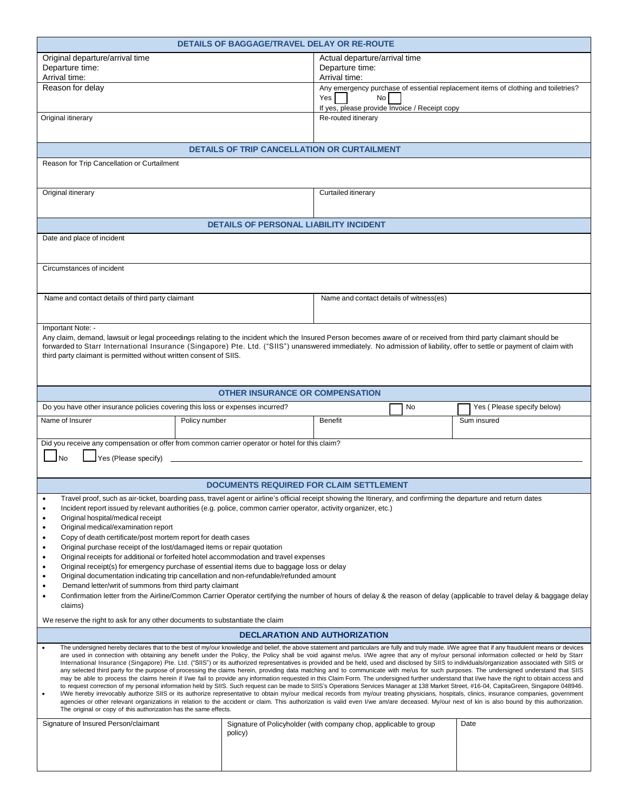|                                                                                                                                                                                                                                                                                                                                                                                            | <b>DETAILS OF BAGGAGE/TRAVEL DELAY OR RE-ROUTE</b>                                                                                                               |                                               |    |                                                                                                                                                                        |  |  |  |
|--------------------------------------------------------------------------------------------------------------------------------------------------------------------------------------------------------------------------------------------------------------------------------------------------------------------------------------------------------------------------------------------|------------------------------------------------------------------------------------------------------------------------------------------------------------------|-----------------------------------------------|----|------------------------------------------------------------------------------------------------------------------------------------------------------------------------|--|--|--|
| Original departure/arrival time                                                                                                                                                                                                                                                                                                                                                            |                                                                                                                                                                  | Actual departure/arrival time                 |    |                                                                                                                                                                        |  |  |  |
| Departure time:                                                                                                                                                                                                                                                                                                                                                                            |                                                                                                                                                                  | Departure time:                               |    |                                                                                                                                                                        |  |  |  |
| Arrival time:                                                                                                                                                                                                                                                                                                                                                                              |                                                                                                                                                                  | Arrival time:                                 |    |                                                                                                                                                                        |  |  |  |
| Reason for delay                                                                                                                                                                                                                                                                                                                                                                           |                                                                                                                                                                  |                                               |    | Any emergency purchase of essential replacement items of clothing and toiletries?                                                                                      |  |  |  |
|                                                                                                                                                                                                                                                                                                                                                                                            |                                                                                                                                                                  | Yes<br>No                                     |    |                                                                                                                                                                        |  |  |  |
|                                                                                                                                                                                                                                                                                                                                                                                            |                                                                                                                                                                  | If yes, please provide Invoice / Receipt copy |    |                                                                                                                                                                        |  |  |  |
| Original itinerary                                                                                                                                                                                                                                                                                                                                                                         |                                                                                                                                                                  | Re-routed itinerary                           |    |                                                                                                                                                                        |  |  |  |
|                                                                                                                                                                                                                                                                                                                                                                                            |                                                                                                                                                                  |                                               |    |                                                                                                                                                                        |  |  |  |
|                                                                                                                                                                                                                                                                                                                                                                                            |                                                                                                                                                                  |                                               |    |                                                                                                                                                                        |  |  |  |
|                                                                                                                                                                                                                                                                                                                                                                                            | <b>DETAILS OF TRIP CANCELLATION OR CURTAILMENT</b>                                                                                                               |                                               |    |                                                                                                                                                                        |  |  |  |
| Reason for Trip Cancellation or Curtailment                                                                                                                                                                                                                                                                                                                                                |                                                                                                                                                                  |                                               |    |                                                                                                                                                                        |  |  |  |
|                                                                                                                                                                                                                                                                                                                                                                                            |                                                                                                                                                                  |                                               |    |                                                                                                                                                                        |  |  |  |
|                                                                                                                                                                                                                                                                                                                                                                                            |                                                                                                                                                                  |                                               |    |                                                                                                                                                                        |  |  |  |
| Original itinerary                                                                                                                                                                                                                                                                                                                                                                         |                                                                                                                                                                  | Curtailed itinerary                           |    |                                                                                                                                                                        |  |  |  |
|                                                                                                                                                                                                                                                                                                                                                                                            |                                                                                                                                                                  |                                               |    |                                                                                                                                                                        |  |  |  |
|                                                                                                                                                                                                                                                                                                                                                                                            |                                                                                                                                                                  |                                               |    |                                                                                                                                                                        |  |  |  |
|                                                                                                                                                                                                                                                                                                                                                                                            | <b>DETAILS OF PERSONAL LIABILITY INCIDENT</b>                                                                                                                    |                                               |    |                                                                                                                                                                        |  |  |  |
| Date and place of incident                                                                                                                                                                                                                                                                                                                                                                 |                                                                                                                                                                  |                                               |    |                                                                                                                                                                        |  |  |  |
|                                                                                                                                                                                                                                                                                                                                                                                            |                                                                                                                                                                  |                                               |    |                                                                                                                                                                        |  |  |  |
|                                                                                                                                                                                                                                                                                                                                                                                            |                                                                                                                                                                  |                                               |    |                                                                                                                                                                        |  |  |  |
| Circumstances of incident                                                                                                                                                                                                                                                                                                                                                                  |                                                                                                                                                                  |                                               |    |                                                                                                                                                                        |  |  |  |
|                                                                                                                                                                                                                                                                                                                                                                                            |                                                                                                                                                                  |                                               |    |                                                                                                                                                                        |  |  |  |
|                                                                                                                                                                                                                                                                                                                                                                                            |                                                                                                                                                                  |                                               |    |                                                                                                                                                                        |  |  |  |
| Name and contact details of third party claimant                                                                                                                                                                                                                                                                                                                                           |                                                                                                                                                                  | Name and contact details of witness(es)       |    |                                                                                                                                                                        |  |  |  |
|                                                                                                                                                                                                                                                                                                                                                                                            |                                                                                                                                                                  |                                               |    |                                                                                                                                                                        |  |  |  |
| Important Note: -                                                                                                                                                                                                                                                                                                                                                                          |                                                                                                                                                                  |                                               |    |                                                                                                                                                                        |  |  |  |
| Any claim, demand, lawsuit or legal proceedings relating to the incident which the Insured Person becomes aware of or received from third party claimant should be                                                                                                                                                                                                                         |                                                                                                                                                                  |                                               |    |                                                                                                                                                                        |  |  |  |
| forwarded to Starr International Insurance (Singapore) Pte. Ltd. ("SIIS") unanswered immediately. No admission of liability, offer to settle or payment of claim with                                                                                                                                                                                                                      |                                                                                                                                                                  |                                               |    |                                                                                                                                                                        |  |  |  |
| third party claimant is permitted without written consent of SIIS.                                                                                                                                                                                                                                                                                                                         |                                                                                                                                                                  |                                               |    |                                                                                                                                                                        |  |  |  |
|                                                                                                                                                                                                                                                                                                                                                                                            |                                                                                                                                                                  |                                               |    |                                                                                                                                                                        |  |  |  |
|                                                                                                                                                                                                                                                                                                                                                                                            |                                                                                                                                                                  |                                               |    |                                                                                                                                                                        |  |  |  |
|                                                                                                                                                                                                                                                                                                                                                                                            | <b>OTHER INSURANCE OR COMPENSATION</b>                                                                                                                           |                                               |    |                                                                                                                                                                        |  |  |  |
|                                                                                                                                                                                                                                                                                                                                                                                            |                                                                                                                                                                  |                                               |    |                                                                                                                                                                        |  |  |  |
| Do you have other insurance policies covering this loss or expenses incurred?                                                                                                                                                                                                                                                                                                              |                                                                                                                                                                  |                                               | No | Yes (Please specify below)                                                                                                                                             |  |  |  |
| Name of Insurer                                                                                                                                                                                                                                                                                                                                                                            | Policy number                                                                                                                                                    | <b>Benefit</b>                                |    | Sum insured                                                                                                                                                            |  |  |  |
|                                                                                                                                                                                                                                                                                                                                                                                            |                                                                                                                                                                  |                                               |    |                                                                                                                                                                        |  |  |  |
| Did you receive any compensation or offer from common carrier operator or hotel for this claim?                                                                                                                                                                                                                                                                                            |                                                                                                                                                                  |                                               |    |                                                                                                                                                                        |  |  |  |
| Yes (Please specify)<br>No.                                                                                                                                                                                                                                                                                                                                                                |                                                                                                                                                                  |                                               |    |                                                                                                                                                                        |  |  |  |
|                                                                                                                                                                                                                                                                                                                                                                                            |                                                                                                                                                                  |                                               |    |                                                                                                                                                                        |  |  |  |
|                                                                                                                                                                                                                                                                                                                                                                                            |                                                                                                                                                                  |                                               |    |                                                                                                                                                                        |  |  |  |
|                                                                                                                                                                                                                                                                                                                                                                                            |                                                                                                                                                                  |                                               |    |                                                                                                                                                                        |  |  |  |
|                                                                                                                                                                                                                                                                                                                                                                                            | <b>DOCUMENTS REQUIRED FOR CLAIM SETTLEMENT</b>                                                                                                                   |                                               |    |                                                                                                                                                                        |  |  |  |
|                                                                                                                                                                                                                                                                                                                                                                                            | Travel proof, such as air-ticket, boarding pass, travel agent or airline's official receipt showing the Itinerary, and confirming the departure and return dates |                                               |    |                                                                                                                                                                        |  |  |  |
| $\bullet$                                                                                                                                                                                                                                                                                                                                                                                  | Incident report issued by relevant authorities (e.g. police, common carrier operator, activity organizer, etc.)                                                  |                                               |    |                                                                                                                                                                        |  |  |  |
| Original hospital/medical receipt<br>٠                                                                                                                                                                                                                                                                                                                                                     |                                                                                                                                                                  |                                               |    |                                                                                                                                                                        |  |  |  |
| Original medical/examination report<br>$\bullet$                                                                                                                                                                                                                                                                                                                                           |                                                                                                                                                                  |                                               |    |                                                                                                                                                                        |  |  |  |
| Copy of death certificate/post mortem report for death cases<br>٠                                                                                                                                                                                                                                                                                                                          |                                                                                                                                                                  |                                               |    |                                                                                                                                                                        |  |  |  |
| Original purchase receipt of the lost/damaged items or repair quotation<br>٠                                                                                                                                                                                                                                                                                                               |                                                                                                                                                                  |                                               |    |                                                                                                                                                                        |  |  |  |
| $\bullet$                                                                                                                                                                                                                                                                                                                                                                                  | Original receipts for additional or forfeited hotel accommodation and travel expenses                                                                            |                                               |    |                                                                                                                                                                        |  |  |  |
| $\bullet$                                                                                                                                                                                                                                                                                                                                                                                  | Original receipt(s) for emergency purchase of essential items due to baggage loss or delay                                                                       |                                               |    |                                                                                                                                                                        |  |  |  |
| ٠                                                                                                                                                                                                                                                                                                                                                                                          | Original documentation indicating trip cancellation and non-refundable/refunded amount                                                                           |                                               |    |                                                                                                                                                                        |  |  |  |
| Demand letter/writ of summons from third party claimant<br>$\bullet$                                                                                                                                                                                                                                                                                                                       |                                                                                                                                                                  |                                               |    |                                                                                                                                                                        |  |  |  |
| $\bullet$                                                                                                                                                                                                                                                                                                                                                                                  |                                                                                                                                                                  |                                               |    | Confirmation letter from the Airline/Common Carrier Operator certifying the number of hours of delay & the reason of delay (applicable to travel delay & baggage delay |  |  |  |
| claims)                                                                                                                                                                                                                                                                                                                                                                                    |                                                                                                                                                                  |                                               |    |                                                                                                                                                                        |  |  |  |
| We reserve the right to ask for any other documents to substantiate the claim                                                                                                                                                                                                                                                                                                              |                                                                                                                                                                  |                                               |    |                                                                                                                                                                        |  |  |  |
|                                                                                                                                                                                                                                                                                                                                                                                            | <b>DECLARATION AND AUTHORIZATION</b>                                                                                                                             |                                               |    |                                                                                                                                                                        |  |  |  |
| The undersigned hereby declares that to the best of my/our knowledge and belief, the above statement and particulars are fully and truly made. I/We agree that if any fraudulent means or devices                                                                                                                                                                                          |                                                                                                                                                                  |                                               |    |                                                                                                                                                                        |  |  |  |
| are used in connection with obtaining any benefit under the Policy, the Policy shall be void against me/us. I/We agree that any of my/our personal information collected or held by Starr                                                                                                                                                                                                  |                                                                                                                                                                  |                                               |    |                                                                                                                                                                        |  |  |  |
| International Insurance (Singapore) Pte. Ltd. ("SIIS") or its authorized representatives is provided and be held, used and disclosed by SIIS to individuals/organization associated with SIIS or                                                                                                                                                                                           |                                                                                                                                                                  |                                               |    |                                                                                                                                                                        |  |  |  |
| any selected third party for the purpose of processing the claims herein, providing data matching and to communicate with me/us for such purposes. The undersigned understand that SIIS<br>may be able to process the claims herein if I/we fail to provide any information requested in this Claim Form. The undersigned further understand that I/we have the right to obtain access and |                                                                                                                                                                  |                                               |    |                                                                                                                                                                        |  |  |  |
| to request correction of my personal information held by SIIS. Such request can be made to SIIS's Operations Services Manager at 138 Market Street, #16-04, CapitaGreen, Singapore 048946.                                                                                                                                                                                                 |                                                                                                                                                                  |                                               |    |                                                                                                                                                                        |  |  |  |
| I/We hereby irrevocably authorize SIIS or its authorize representative to obtain my/our medical records from my/our treating physicians, hospitals, clinics, insurance companies, government<br>$\bullet$                                                                                                                                                                                  |                                                                                                                                                                  |                                               |    |                                                                                                                                                                        |  |  |  |
| agencies or other relevant organizations in relation to the accident or claim. This authorization is valid even I/we am/are deceased. My/our next of kin is also bound by this authorization.<br>The original or copy of this authorization has the same effects.                                                                                                                          |                                                                                                                                                                  |                                               |    |                                                                                                                                                                        |  |  |  |
|                                                                                                                                                                                                                                                                                                                                                                                            |                                                                                                                                                                  |                                               |    | Date                                                                                                                                                                   |  |  |  |
| Signature of Insured Person/claimant                                                                                                                                                                                                                                                                                                                                                       | Signature of Policyholder (with company chop, applicable to group<br>policy)                                                                                     |                                               |    |                                                                                                                                                                        |  |  |  |
|                                                                                                                                                                                                                                                                                                                                                                                            |                                                                                                                                                                  |                                               |    |                                                                                                                                                                        |  |  |  |